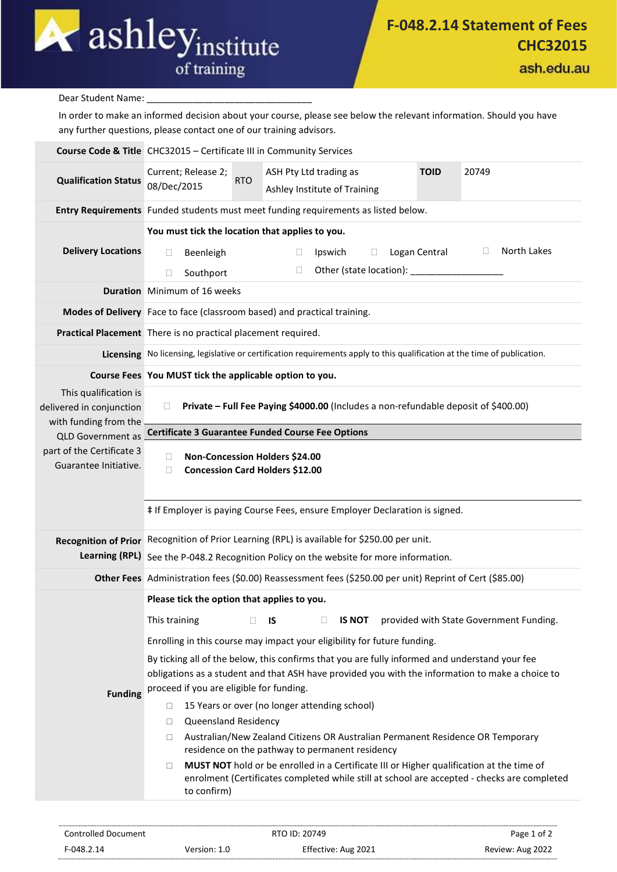

ash.edu.au

Dear Student Name:

In order to make an informed decision about your course, please see below the relevant information. Should you have any further questions, please contact one of our training advisors.

|                                                                            | Course Code & Title CHC32015 - Certificate III in Community Services                                                                                                                                                                           |  |  |  |  |
|----------------------------------------------------------------------------|------------------------------------------------------------------------------------------------------------------------------------------------------------------------------------------------------------------------------------------------|--|--|--|--|
| <b>Qualification Status</b>                                                | Current; Release 2;<br>ASH Pty Ltd trading as<br><b>TOID</b><br>20749<br><b>RTO</b><br>08/Dec/2015<br>Ashley Institute of Training                                                                                                             |  |  |  |  |
|                                                                            | Entry Requirements Funded students must meet funding requirements as listed below.                                                                                                                                                             |  |  |  |  |
|                                                                            | You must tick the location that applies to you.                                                                                                                                                                                                |  |  |  |  |
| <b>Delivery Locations</b>                                                  | North Lakes<br>$\Box$<br>Logan Central<br>Ipswich<br>Beenleigh<br>$\Box$<br>$\Box$<br>□<br>Other (state location): __________<br>$\Box$<br>Southport<br>$\Box$                                                                                 |  |  |  |  |
|                                                                            | Duration Minimum of 16 weeks                                                                                                                                                                                                                   |  |  |  |  |
|                                                                            | Modes of Delivery Face to face (classroom based) and practical training.                                                                                                                                                                       |  |  |  |  |
|                                                                            | Practical Placement There is no practical placement required.                                                                                                                                                                                  |  |  |  |  |
|                                                                            | Licensing No licensing, legislative or certification requirements apply to this qualification at the time of publication.                                                                                                                      |  |  |  |  |
| This qualification is<br>delivered in conjunction<br>with funding from the | Course Fees You MUST tick the applicable option to you.                                                                                                                                                                                        |  |  |  |  |
|                                                                            | Private - Full Fee Paying \$4000.00 (Includes a non-refundable deposit of \$400.00)<br>O.                                                                                                                                                      |  |  |  |  |
| <b>QLD Government as</b>                                                   | <b>Certificate 3 Guarantee Funded Course Fee Options</b>                                                                                                                                                                                       |  |  |  |  |
| part of the Certificate 3<br>Guarantee Initiative.                         | Non-Concession Holders \$24.00<br>$\Box$<br><b>Concession Card Holders \$12.00</b><br>П                                                                                                                                                        |  |  |  |  |
|                                                                            | # If Employer is paying Course Fees, ensure Employer Declaration is signed.                                                                                                                                                                    |  |  |  |  |
|                                                                            | Recognition of Prior Recognition of Prior Learning (RPL) is available for \$250.00 per unit.                                                                                                                                                   |  |  |  |  |
|                                                                            | Learning (RPL) See the P-048.2 Recognition Policy on the website for more information.                                                                                                                                                         |  |  |  |  |
|                                                                            | Other Fees Administration fees (\$0.00) Reassessment fees (\$250.00 per unit) Reprint of Cert (\$85.00)                                                                                                                                        |  |  |  |  |
|                                                                            | Please tick the option that applies to you.                                                                                                                                                                                                    |  |  |  |  |
|                                                                            | This training<br>provided with State Government Funding.<br>$\Box$<br><b>IS NOT</b><br>П.<br>- IS                                                                                                                                              |  |  |  |  |
| <b>Funding</b>                                                             | Enrolling in this course may impact your eligibility for future funding.                                                                                                                                                                       |  |  |  |  |
|                                                                            | By ticking all of the below, this confirms that you are fully informed and understand your fee<br>obligations as a student and that ASH have provided you with the information to make a choice to<br>proceed if you are eligible for funding. |  |  |  |  |
|                                                                            | 15 Years or over (no longer attending school)<br>$\Box$                                                                                                                                                                                        |  |  |  |  |
|                                                                            | Queensland Residency<br>$\Box$                                                                                                                                                                                                                 |  |  |  |  |
|                                                                            | Australian/New Zealand Citizens OR Australian Permanent Residence OR Temporary<br>$\Box$<br>residence on the pathway to permanent residency                                                                                                    |  |  |  |  |
|                                                                            | MUST NOT hold or be enrolled in a Certificate III or Higher qualification at the time of<br>$\Box$<br>enrolment (Certificates completed while still at school are accepted - checks are completed<br>to confirm)                               |  |  |  |  |
|                                                                            |                                                                                                                                                                                                                                                |  |  |  |  |